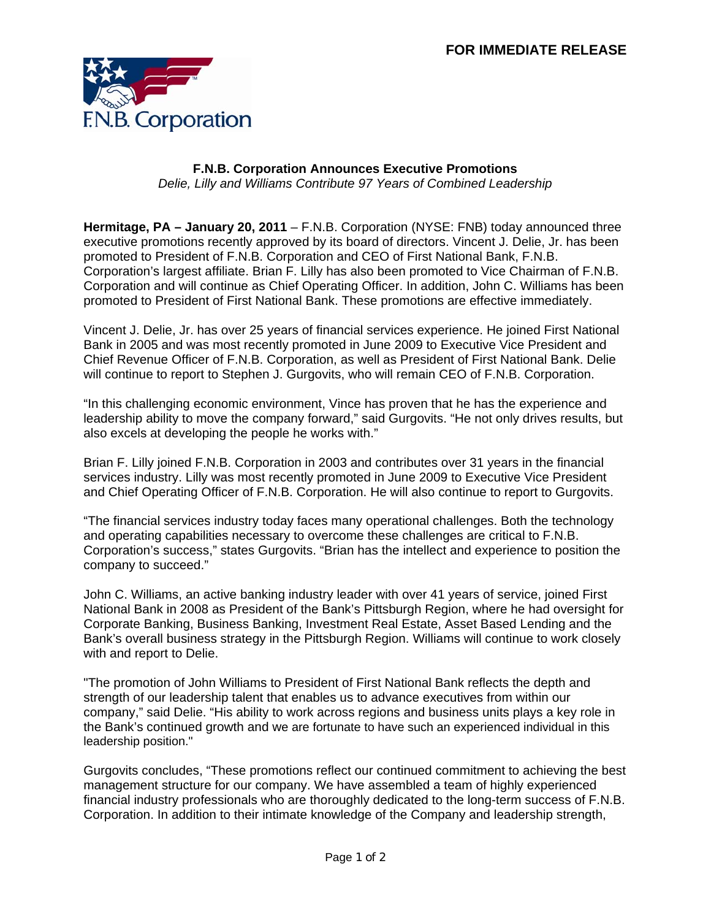

## **F.N.B. Corporation Announces Executive Promotions**  *Delie, Lilly and Williams Contribute 97 Years of Combined Leadership*

**Hermitage, PA – January 20, 2011** – F.N.B. Corporation (NYSE: FNB) today announced three executive promotions recently approved by its board of directors. Vincent J. Delie, Jr. has been promoted to President of F.N.B. Corporation and CEO of First National Bank, F.N.B. Corporation's largest affiliate. Brian F. Lilly has also been promoted to Vice Chairman of F.N.B. Corporation and will continue as Chief Operating Officer. In addition, John C. Williams has been promoted to President of First National Bank. These promotions are effective immediately.

Vincent J. Delie, Jr. has over 25 years of financial services experience. He joined First National Bank in 2005 and was most recently promoted in June 2009 to Executive Vice President and Chief Revenue Officer of F.N.B. Corporation, as well as President of First National Bank. Delie will continue to report to Stephen J. Gurgovits, who will remain CEO of F.N.B. Corporation.

"In this challenging economic environment, Vince has proven that he has the experience and leadership ability to move the company forward," said Gurgovits. "He not only drives results, but also excels at developing the people he works with."

Brian F. Lilly joined F.N.B. Corporation in 2003 and contributes over 31 years in the financial services industry. Lilly was most recently promoted in June 2009 to Executive Vice President and Chief Operating Officer of F.N.B. Corporation. He will also continue to report to Gurgovits.

"The financial services industry today faces many operational challenges. Both the technology and operating capabilities necessary to overcome these challenges are critical to F.N.B. Corporation's success," states Gurgovits. "Brian has the intellect and experience to position the company to succeed."

John C. Williams, an active banking industry leader with over 41 years of service, joined First National Bank in 2008 as President of the Bank's Pittsburgh Region, where he had oversight for Corporate Banking, Business Banking, Investment Real Estate, Asset Based Lending and the Bank's overall business strategy in the Pittsburgh Region. Williams will continue to work closely with and report to Delie.

"The promotion of John Williams to President of First National Bank reflects the depth and strength of our leadership talent that enables us to advance executives from within our company," said Delie. "His ability to work across regions and business units plays a key role in the Bank's continued growth and we are fortunate to have such an experienced individual in this leadership position."

Gurgovits concludes, "These promotions reflect our continued commitment to achieving the best management structure for our company. We have assembled a team of highly experienced financial industry professionals who are thoroughly dedicated to the long-term success of F.N.B. Corporation. In addition to their intimate knowledge of the Company and leadership strength,